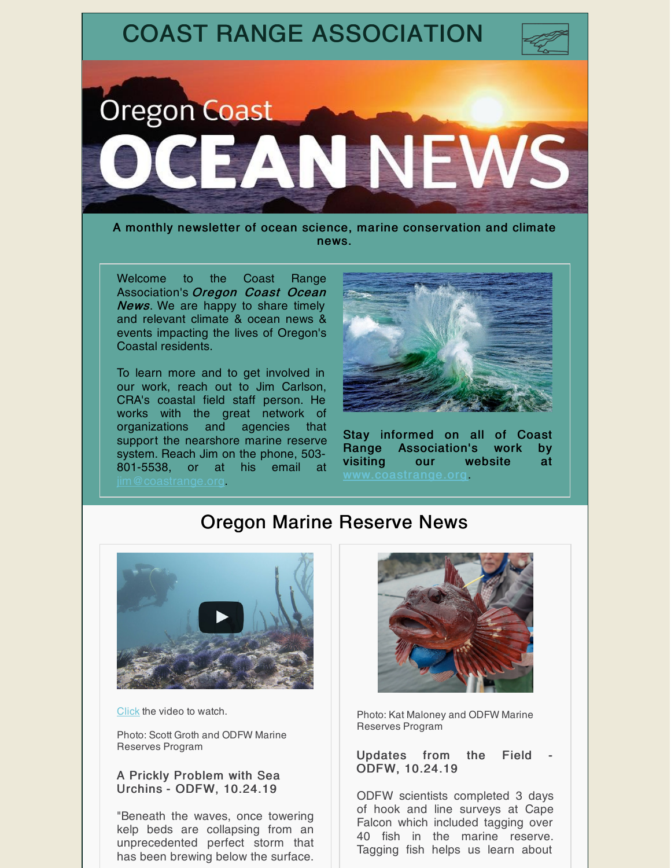

A monthly newsletter of ocean science, marine conservation and climate news.

Welcome to the Coast Range Association's Oregon Coast Ocean **News.** We are happy to share timely and relevant climate & ocean news & events impacting the lives of Oregon's Coastal residents.

To learn more and to get involved in our work, reach out to Jim Carlson, CRA's coastal field staff person. He works with the great network of organizations and agencies that support the nearshore marine reserve system. Reach Jim on the phone, 503- 801-5538, or at his email at [jim@coastrange.org](mailto:jim@coastrange.org).



Stay informed on all of Coast Range Association's work by visiting our website at [www.coastrange.org](http://coastrange.org).

## Oregon Marine Reserve News



[Click](https://www.youtube.com/watch?v=jwPEoUz3aac) the video to watch.

Photo: Scott Groth and ODFW Marine Reserves Program

#### A Prickly Problem with Sea Urchins - ODFW, 10.24.19

"Beneath the waves, once towering kelp beds are collapsing from an unprecedented perfect storm that has been brewing below the surface.



Photo: Kat Maloney and ODFW Marine Reserves Program

Updates from the Field ODFW, 10.24.19

ODFW scientists completed 3 days of hook and line surveys at Cape Falcon which included tagging over 40 fish in the marine reserve. Tagging fish helps us learn about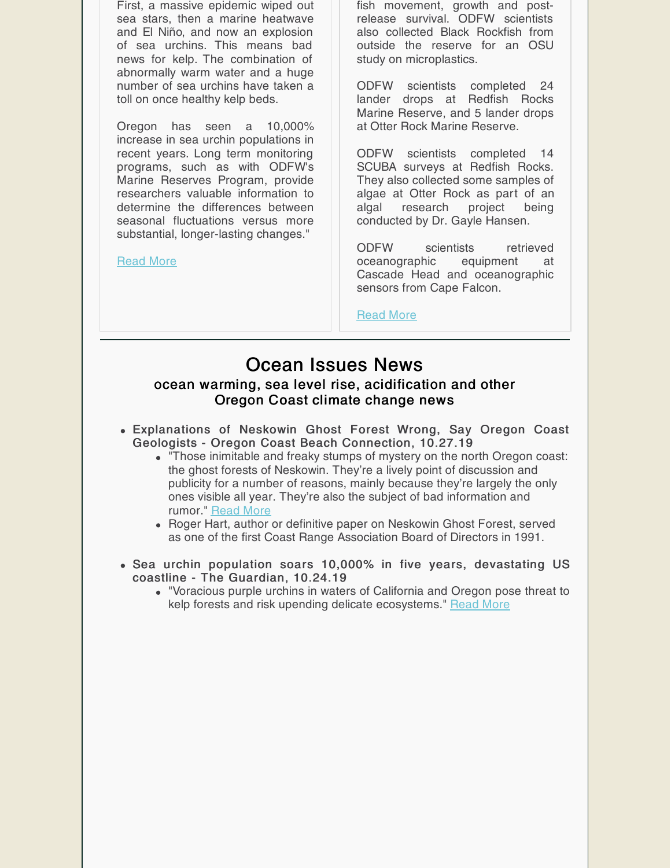First, a massive epidemic wiped out sea stars, then a marine heatwave and El Niño, and now an explosion of sea urchins. This means bad news for kelp. The combination of abnormally warm water and a huge number of sea urchins have taken a toll on once healthy kelp beds.

Oregon has seen a 10,000% increase in sea urchin populations in recent years. Long term monitoring programs, such as with ODFW's Marine Reserves Program, provide researchers valuable information to determine the differences between seasonal fluctuations versus more substantial, longer-lasting changes."

[Read](https://oregonmarinereserves.com/2019/10/24/urchins/) More

fish movement, growth and postrelease survival. ODFW scientists also collected Black Rockfish from outside the reserve for an OSU study on microplastics.

ODFW scientists completed 24 lander drops at Redfish Rocks Marine Reserve, and 5 lander drops at Otter Rock Marine Reserve.

ODFW scientists completed 14 SCUBA surveys at Redfish Rocks. They also collected some samples of algae at Otter Rock as part of an algal research project being conducted by Dr. Gayle Hansen.

ODFW scientists retrieved oceanographic equipment at Cascade Head and oceanographic sensors from Cape Falcon.

[Read](https://oregonmarinereserves.com/2019/10/23/updates-2/) More

## Ocean Issues News

#### ocean warming, sea level rise, acidification and other Oregon Coast climate change news

- Explanations of Neskowin Ghost Forest Wrong, Say Oregon Coast Geologists - Oregon Coast Beach Connection, 10.27.19
	- "Those inimitable and freaky stumps of mystery on the north Oregon coast: the ghost forests of Neskowin. They're a lively point of discussion and publicity for a number of reasons, mainly because they're largely the only ones visible all year. They're also the subject of bad information and rumor." [Read](https://beachconnection.net/news/neskowin_ghost_forest_origin.php?fbclid=IwAR0p6D5YTaRxdkwp-M6bfZE35ogMo7hrBv-Y1emL6EFV9hF-GIdWW1HQ3nw) More
	- Roger Hart, author or definitive paper on Neskowin Ghost Forest, served as one of the first Coast Range Association Board of Directors in 1991.
- Sea urchin population soars 10,000% in five years, devastating US coastline - The Guardian, 10.24.19
	- "Voracious purple urchins in waters of California and Oregon pose threat to kelp forests and risk upending delicate ecosystems." [Read](https://www.theguardian.com/environment/2019/oct/24/sea-urchins-california-oregon-population?CMP=share_btn_link) More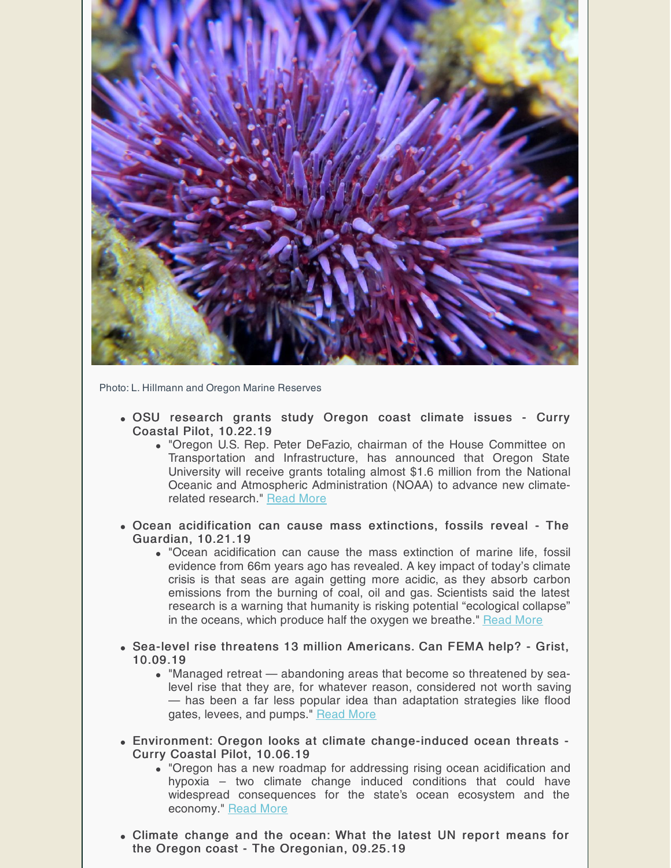

Photo: L. Hillmann and Oregon Marine Reserves

- OSU research grants study Oregon coast climate issues Curry Coastal Pilot, 10.22.19
	- "Oregon U.S. Rep. Peter DeFazio, chairman of the House Committee on Transportation and Infrastructure, has announced that Oregon State University will receive grants totaling almost \$1.6 million from the National Oceanic and Atmospheric Administration (NOAA) to advance new climaterelated research." [Read](https://www.currypilot.com/news_paid/osu-research-grants-study-oregon-coast-climate-issues/article_73156d1e-f547-11e9-9611-571c43cf0b10.html) More
- Ocean acidification can cause mass extinctions, fossils reveal The Guardian, 10.21.19
	- "Ocean acidification can cause the mass extinction of marine life, fossil evidence from 66m years ago has revealed. A key impact of today's climate crisis is that seas are again getting more acidic, as they absorb carbon emissions from the burning of coal, oil and gas. Scientists said the latest research is a warning that humanity is risking potential "ecological collapse" in the oceans, which produce half the oxygen we breathe." [Read](https://www.theguardian.com/environment/2019/oct/21/ocean-acidification-can-cause-mass-extinctions-fossils-reveal) More
- Sea-level rise threatens 13 million Americans. Can FEMA help? Grist, 10.09.19
	- "Managed retreat abandoning areas that become so threatened by sealevel rise that they are, for whatever reason, considered not worth saving — has been a far less popular idea than adaptation strategies like flood gates, levees, and pumps." [Read](https://grist.org/article/sea-level-rise-threatens-13-million-americans-can-fema-help/) More
- Environment: Oregon looks at climate change-induced ocean threats Curry Coastal Pilot, 10.06.19
	- "Oregon has a new roadmap for addressing rising ocean acidification and hypoxia – two climate change induced conditions that could have widespread consequences for the state's ocean ecosystem and the economy." [Read](https://www.currypilot.com/news_paid/environment-oregon-looks-at-climate-change-induced-ocean-threats/article_08901754-e459-11e9-8164-13d99442ac61.html) More
- Climate change and the ocean: What the latest UN report means for the Oregon coast - The Oregonian, 09.25.19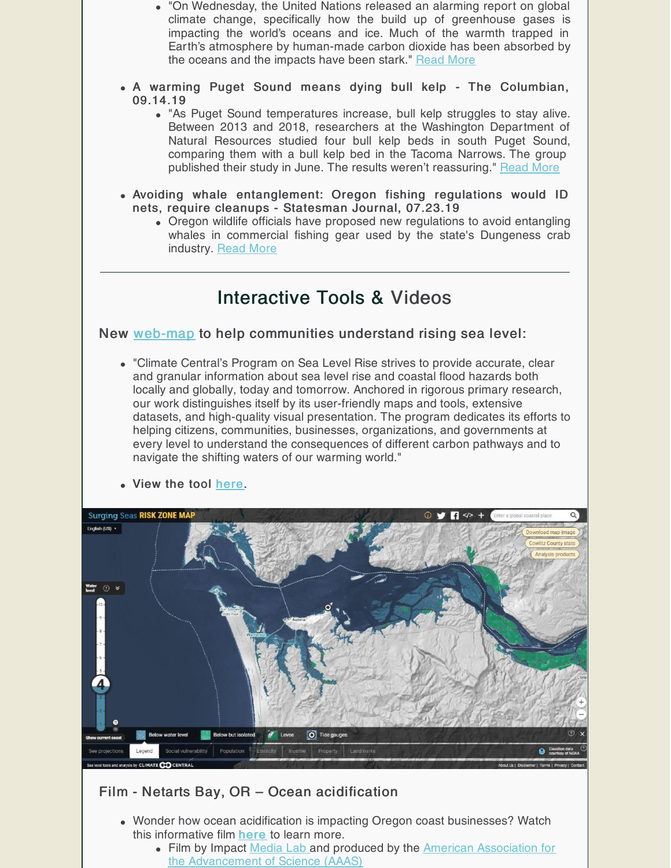- "On Wednesday, the United Nations released an alarming report on global climate change, specifically how the build up of greenhouse gases is impacting the world's oceans and ice. Much of the warmth trapped in Earth's atmosphere by human-made carbon dioxide has been absorbed by the oceans and the impacts have been stark." [Read](https://www.oregonlive.com/environment/2019/09/climate-change-and-the-ocean-what-the-latest-un-report-means-for-the-oregon-coast.html) More
- A warming Puget Sound means dying bull kelp The Columbian, 09.14.19
	- "As Puget Sound temperatures increase, bull kelp struggles to stay alive. Between 2013 and 2018, researchers at the Washington Department of Natural Resources studied four bull kelp beds in south Puget Sound, comparing them with a bull kelp bed in the Tacoma Narrows. The group published their study in June. The results weren't reassuring." [Read](https://www.columbian.com/news/2019/sep/14/a-warming-puget-sound-means-dying-bull-kelp/) More
- Avoiding whale entanglement: Oregon fishing regulations would ID nets, require cleanups - Statesman Journal, 07.23.19
	- Oregon wildlife officials have proposed new regulations to avoid entangling whales in commercial fishing gear used by the state's Dungeness crab industry. [Read](https://www.statesmanjournal.com/story/news/2019/07/23/avoiding-whale-entanglement-oregon-fishing-regs-would-require-cleanups/1807913001/) More

## Interactive Tools & Videos

#### New [web-map](https://riskfinder.climatecentral.org/) to help communities understand rising sea level:

"Climate Central's Program on Sea Level Rise strives to provide accurate, clear and granular information about sea level rise and coastal flood hazards both locally and globally, today and tomorrow. Anchored in rigorous primary research, our work distinguishes itself by its user-friendly maps and tools, extensive datasets, and high-quality visual presentation. The program dedicates its efforts to helping citizens, communities, businesses, organizations, and governments at every level to understand the consequences of different carbon pathways and to navigate the shifting waters of our warming world."



#### Film - Netarts Bay, OR – Ocean acidification

- Wonder how ocean acidification is impacting Oregon coast businesses? Watch this informative film [here](https://www.youtube.com/watch?v=UTRCRzbGTy4&feature=youtu.be) to learn more.
	- Film by Impact [Media](https://www.impactmedialab.com/) Lab and produced by the American Association for the [Advancement](https://www.aaas.org) of Science (AAAS)

View the tool [here](https://riskfinder.climatecentral.org/).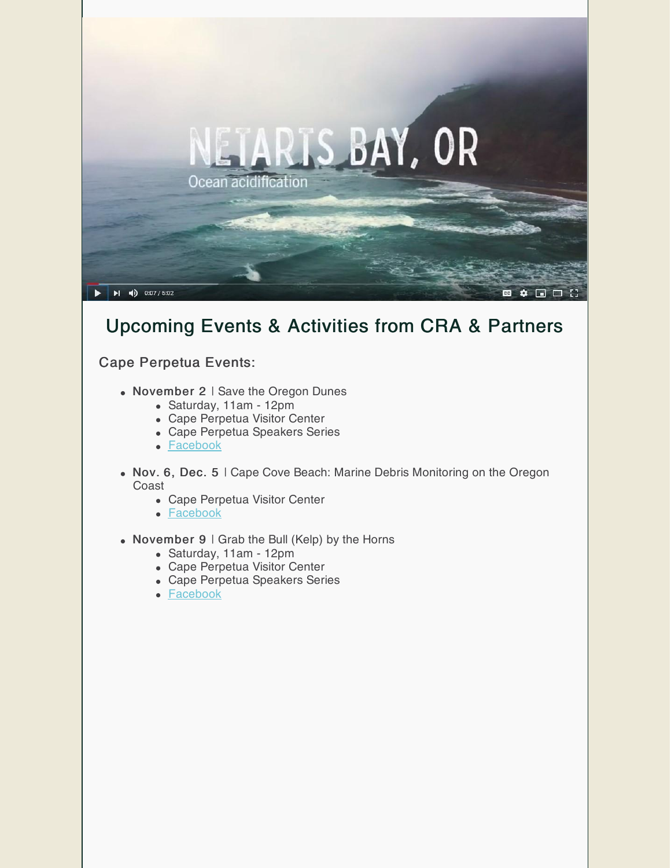

## Upcoming Events & Activities from CRA & Partners

#### Cape Perpetua Events:

- November 2 | Save the Oregon Dunes
	- Saturday, 11am 12pm
	- Cape Perpetua Visitor Center
	- Cape Perpetua Speakers Series
	- [Facebook](https://www.facebook.com/events/460654771213349/)
- Nov. 6, Dec. 5 | Cape Cove Beach: Marine Debris Monitoring on the Oregon Coast
	- Cape Perpetua Visitor Center
	- [Facebook](https://www.facebook.com/events/501298200663381/)
- November 9 | Grab the Bull (Kelp) by the Horns
	- Saturday, 11am 12pm
	- Cape Perpetua Visitor Center
	- Cape Perpetua Speakers Series
	- [Facebook](https://www.facebook.com/events/423950391637032/)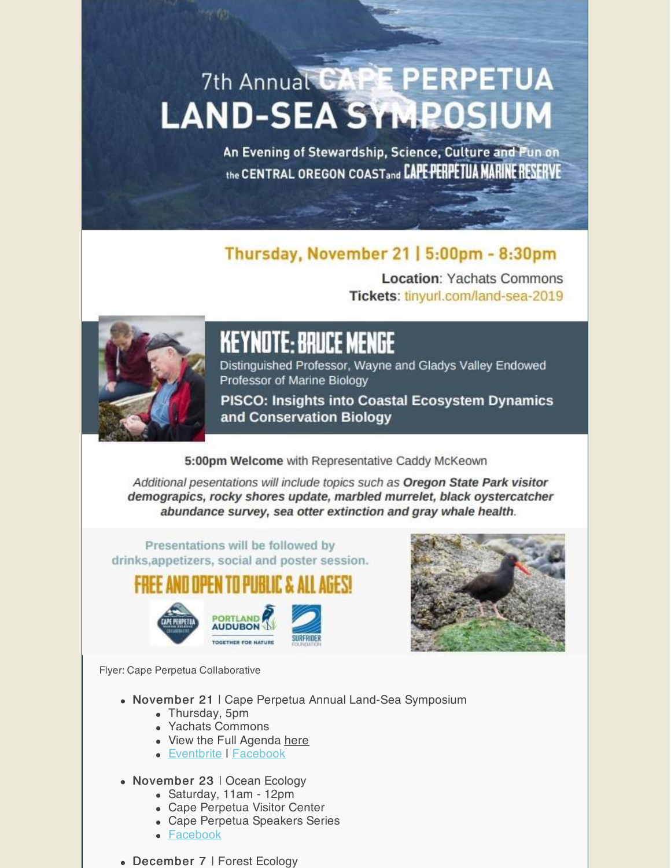# 7th Annual CAPE PERPETUA **LAND-SEA SYMPOSIUM**

An Evening of Stewardship, Science, Culture and Fun on the CENTRAL OREGON COASTand CAPE PERPETUA MARINE RESERVE

## Thursday, November 21 | 5:00pm - 8:30pm

**Location: Yachats Commons** Tickets: tinyurl.com/land-sea-2019



## **Keynote: Bruce Menge**

Distinguished Professor, Wayne and Gladys Valley Endowed Professor of Marine Biology

**PISCO: Insights into Coastal Ecosystem Dynamics** and Conservation Biology

#### 5:00pm Welcome with Representative Caddy McKeown

Additional pesentations will include topics such as Oregon State Park visitor demograpics, rocky shores update, marbled murrelet, black oystercatcher abundance survey, sea otter extinction and gray whale health.

Presentations will be followed by drinks, appetizers, social and poster session.

16 ft ft ft ft ft





Flyer: Cape Perpetua Collaborative

- November 21 | Cape Perpetua Annual Land-Sea Symposium
	- Thursday, 5pm
	- Yachats Commons
	- View the Full Agenda [here](https://audubonportland.org/wp-content/uploads/2019/10/2019-LSS-Agenda-updated1.pdf)
	- [Eventbrite](https://www.eventbrite.com/e/7th-annual-cape-perpetua-land-sea-symposium-2019-tickets-61910971382) | [Facebook](https://www.facebook.com/events/803604046692818/)
- November 23 | Ocean Ecology
	- Saturday, 11am 12pm
	- Cape Perpetua Visitor Center
	- Cape Perpetua Speakers Series
	- [Facebook](https://www.facebook.com/events/947477888920943/)
- December 7 | Forest Ecology